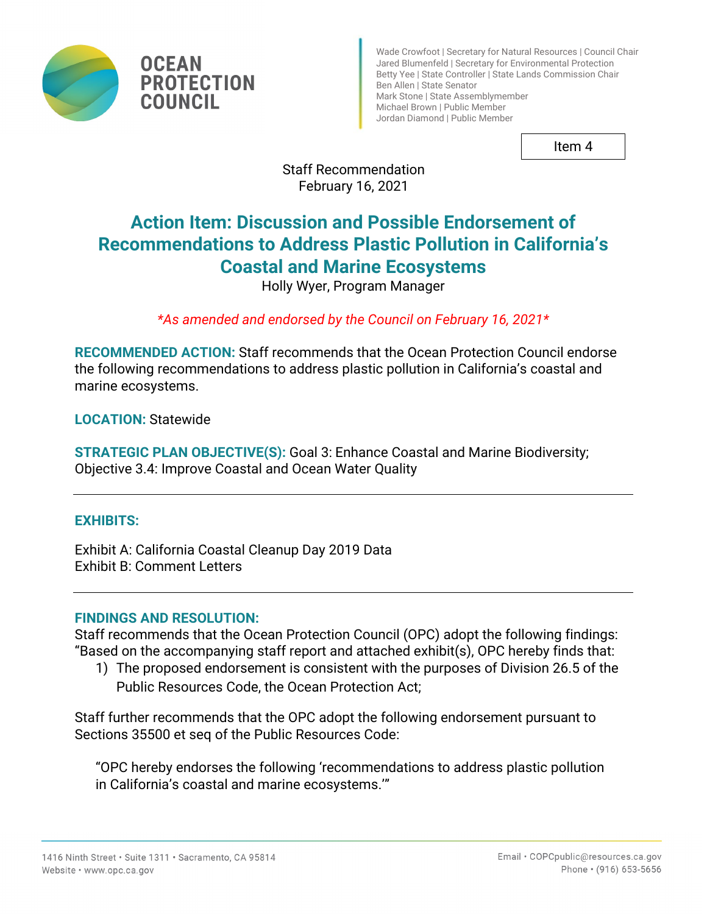

Wade Crowfoot | Secretary for Natural Resources | Council Chair Jared Blumenfeld | Secretary for Environmental Protection Betty Yee | State Controller | State Lands Commission Chair Ben Allen | State Senator Mark Stone | State Assemblymember Michael Brown | Public Member Jordan Diamond | Public Member

Item 4

# Staff Recommendation February 16, 2021

# **Action Item: Discussion and Possible Endorsement of Recommendations to Address Plastic Pollution in California's Coastal and Marine Ecosystems**

Holly Wyer, Program Manager

*\*As amended and endorsed by the Council on February 16, 2021\**

**RECOMMENDED ACTION:** Staff recommends that the Ocean Protection Council endorse the following recommendations to address plastic pollution in California's coastal and marine ecosystems.

**LOCATION:** Statewide

**STRATEGIC PLAN OBJECTIVE(S):** Goal 3: Enhance Coastal and Marine Biodiversity; Objective 3.4: Improve Coastal and Ocean Water Quality

# **EXHIBITS:**

Exhibit A: California Coastal Cleanup Day 2019 Data Exhibit B: Comment Letters

## **FINDINGS AND RESOLUTION:**

Staff recommends that the Ocean Protection Council (OPC) adopt the following findings: "Based on the accompanying staff report and attached exhibit(s), OPC hereby finds that:

1) The proposed endorsement is consistent with the purposes of Division 26.5 of the Public Resources Code, the Ocean Protection Act;

Staff further recommends that the OPC adopt the following endorsement pursuant to Sections 35500 et seq of the Public Resources Code:

"OPC hereby endorses the following 'recommendations to address plastic pollution in California's coastal and marine ecosystems.'"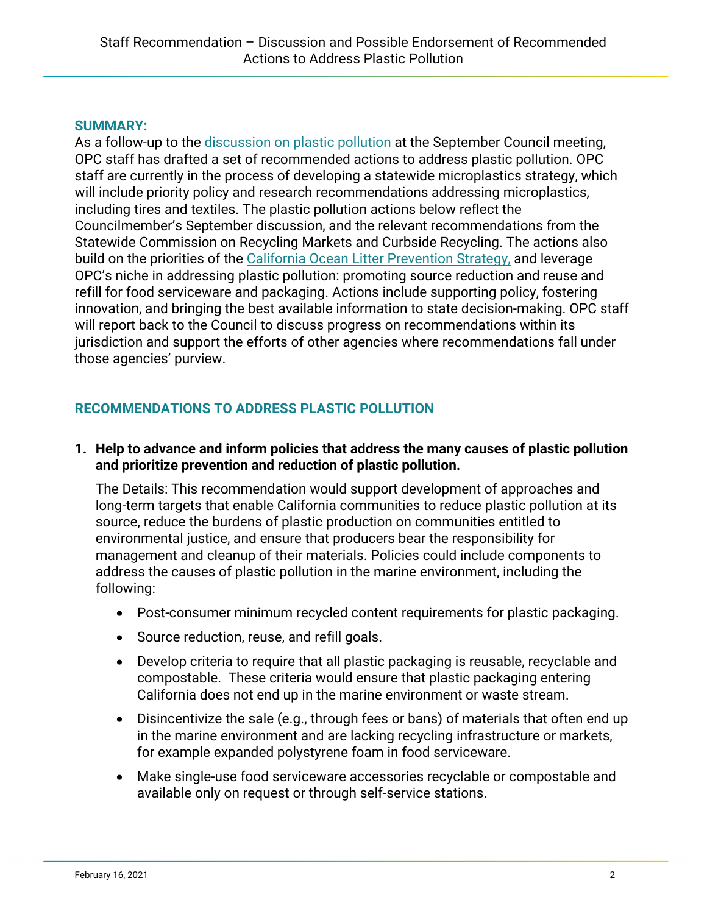## **SUMMARY:**

As a follow-up to the [discussion on plastic pollution](https://www.opc.ca.gov/webmaster/ftp/pdf/agenda_items/20200917/Item7_TalkingTrashPolicyDiscussion.pdf) at the September Council meeting, OPC staff has drafted a set of recommended actions to address plastic pollution. OPC staff are currently in the process of developing a statewide microplastics strategy, which will include priority policy and research recommendations addressing microplastics, including tires and textiles. The plastic pollution actions below reflect the Councilmember's September discussion, and the relevant recommendations from the Statewide Commission on Recycling Markets and Curbside Recycling. The actions also build on the priorities of the [California Ocean Litter Prevention Strategy,](https://opc.ca.gov/webmaster/_media_library/2018/06/2018_CA_OceanLitterStrategy.pdf) and leverage OPC's niche in addressing plastic pollution: promoting source reduction and reuse and refill for food serviceware and packaging. Actions include supporting policy, fostering innovation, and bringing the best available information to state decision-making. OPC staff will report back to the Council to discuss progress on recommendations within its jurisdiction and support the efforts of other agencies where recommendations fall under those agencies' purview.

# **RECOMMENDATIONS TO ADDRESS PLASTIC POLLUTION**

### **1. Help to advance and inform policies that address the many causes of plastic pollution and prioritize prevention and reduction of plastic pollution.**

The Details: This recommendation would support development of approaches and long-term targets that enable California communities to reduce plastic pollution at its source, reduce the burdens of plastic production on communities entitled to environmental justice, and ensure that producers bear the responsibility for management and cleanup of their materials. Policies could include components to address the causes of plastic pollution in the marine environment, including the following:

- Post-consumer minimum recycled content requirements for plastic packaging.
- Source reduction, reuse, and refill goals.
- Develop criteria to require that all plastic packaging is reusable, recyclable and compostable. These criteria would ensure that plastic packaging entering California does not end up in the marine environment or waste stream.
- Disincentivize the sale (e.g., through fees or bans) of materials that often end up in the marine environment and are lacking recycling infrastructure or markets, for example expanded polystyrene foam in food serviceware.
- Make single-use food serviceware accessories recyclable or compostable and available only on request or through self-service stations.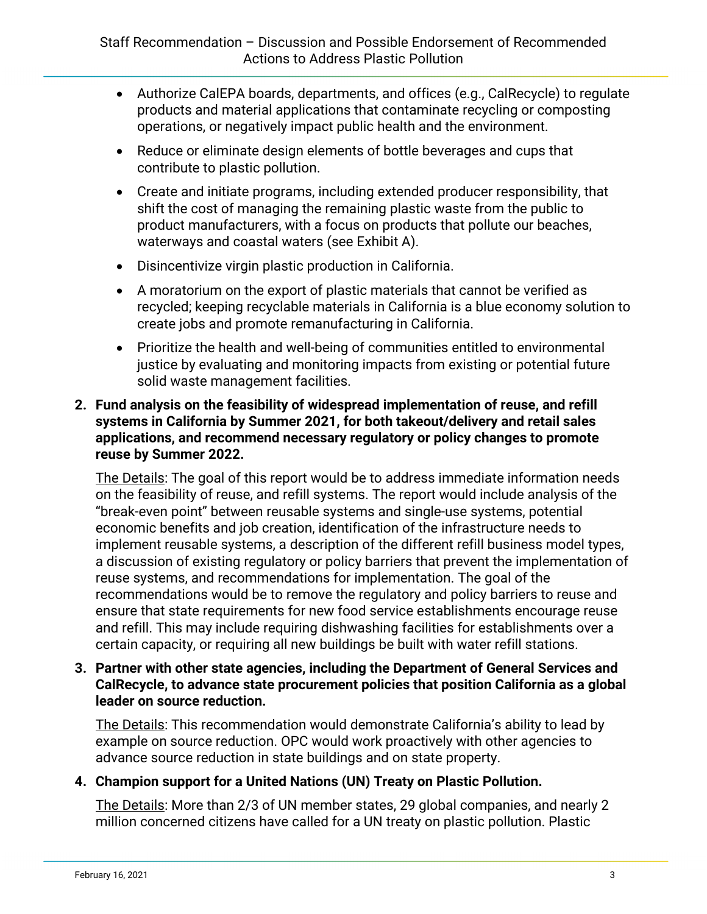- Authorize CalEPA boards, departments, and offices (e.g., CalRecycle) to regulate products and material applications that contaminate recycling or composting operations, or negatively impact public health and the environment.
- Reduce or eliminate design elements of bottle beverages and cups that contribute to plastic pollution.
- Create and initiate programs, including extended producer responsibility, that shift the cost of managing the remaining plastic waste from the public to product manufacturers, with a focus on products that pollute our beaches, waterways and coastal waters (see Exhibit A).
- Disincentivize virgin plastic production in California.
- A moratorium on the export of plastic materials that cannot be verified as recycled; keeping recyclable materials in California is a blue economy solution to create jobs and promote remanufacturing in California.
- Prioritize the health and well-being of communities entitled to environmental justice by evaluating and monitoring impacts from existing or potential future solid waste management facilities.
- **2. Fund analysis on the feasibility of widespread implementation of reuse, and refill systems in California by Summer 2021, for both takeout/delivery and retail sales applications, and recommend necessary regulatory or policy changes to promote reuse by Summer 2022.**

The Details: The goal of this report would be to address immediate information needs on the feasibility of reuse, and refill systems. The report would include analysis of the "break-even point" between reusable systems and single-use systems, potential economic benefits and job creation, identification of the infrastructure needs to implement reusable systems, a description of the different refill business model types, a discussion of existing regulatory or policy barriers that prevent the implementation of reuse systems, and recommendations for implementation. The goal of the recommendations would be to remove the regulatory and policy barriers to reuse and ensure that state requirements for new food service establishments encourage reuse and refill. This may include requiring dishwashing facilities for establishments over a certain capacity, or requiring all new buildings be built with water refill stations.

## **3. Partner with other state agencies, including the Department of General Services and CalRecycle, to advance state procurement policies that position California as a global leader on source reduction.**

The Details: This recommendation would demonstrate California's ability to lead by example on source reduction. OPC would work proactively with other agencies to advance source reduction in state buildings and on state property.

# **4. Champion support for a United Nations (UN) Treaty on Plastic Pollution.**

The Details: More than 2/3 of UN member states, 29 global companies, and nearly 2 million concerned citizens have called for a UN treaty on plastic pollution. Plastic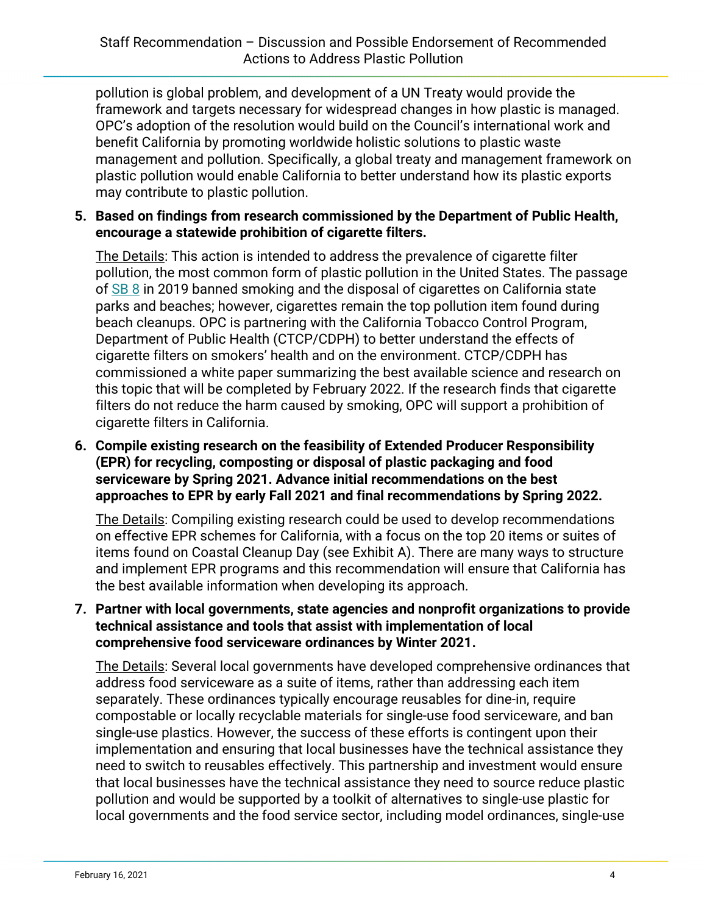pollution is global problem, and development of a UN Treaty would provide the framework and targets necessary for widespread changes in how plastic is managed. OPC's adoption of the resolution would build on the Council's international work and benefit California by promoting worldwide holistic solutions to plastic waste management and pollution. Specifically, a global treaty and management framework on plastic pollution would enable California to better understand how its plastic exports may contribute to plastic pollution.

## **5. Based on findings from research commissioned by the Department of Public Health, encourage a statewide prohibition of cigarette filters.**

The Details: This action is intended to address the prevalence of cigarette filter pollution, the most common form of plastic pollution in the United States. The passage of [SB 8](https://urldefense.proofpoint.com/v2/url?u=https-3A__leginfo.legislature.ca.gov_faces_billTextClient.xhtml-3Fbill-5Fid-3D201920200SB8&d=DwMFAg&c=Lr0a7ed3egkbwePCNW4ROg&r=0MrgeJKqK4KHDWuUMHPsjbuO0TJVF_n4qyKtygER2Pk&m=h4cABiguKGAU3TzksXMiQm7ePYamKrR-O2kK1P5mlAE&s=s1gPSENLmzugqL_ibWmAFxrhG9FeN4ih3pqHvZbYT3c&e=) in 2019 banned smoking and the disposal of cigarettes on California state parks and beaches; however, cigarettes remain the top pollution item found during beach cleanups. OPC is partnering with the California Tobacco Control Program, Department of Public Health (CTCP/CDPH) to better understand the effects of cigarette filters on smokers' health and on the environment. CTCP/CDPH has commissioned a white paper summarizing the best available science and research on this topic that will be completed by February 2022. If the research finds that cigarette filters do not reduce the harm caused by smoking, OPC will support a prohibition of cigarette filters in California.

## **6. Compile existing research on the feasibility of Extended Producer Responsibility (EPR) for recycling, composting or disposal of plastic packaging and food serviceware by Spring 2021. Advance initial recommendations on the best approaches to EPR by early Fall 2021 and final recommendations by Spring 2022.**

The Details: Compiling existing research could be used to develop recommendations on effective EPR schemes for California, with a focus on the top 20 items or suites of items found on Coastal Cleanup Day (see Exhibit A). There are many ways to structure and implement EPR programs and this recommendation will ensure that California has the best available information when developing its approach.

## **7. Partner with local governments, state agencies and nonprofit organizations to provide technical assistance and tools that assist with implementation of local comprehensive food serviceware ordinances by Winter 2021.**

The Details: Several local governments have developed comprehensive ordinances that address food serviceware as a suite of items, rather than addressing each item separately. These ordinances typically encourage reusables for dine-in, require compostable or locally recyclable materials for single-use food serviceware, and ban single-use plastics. However, the success of these efforts is contingent upon their implementation and ensuring that local businesses have the technical assistance they need to switch to reusables effectively. This partnership and investment would ensure that local businesses have the technical assistance they need to source reduce plastic pollution and would be supported by a toolkit of alternatives to single-use plastic for local governments and the food service sector, including model ordinances, single-use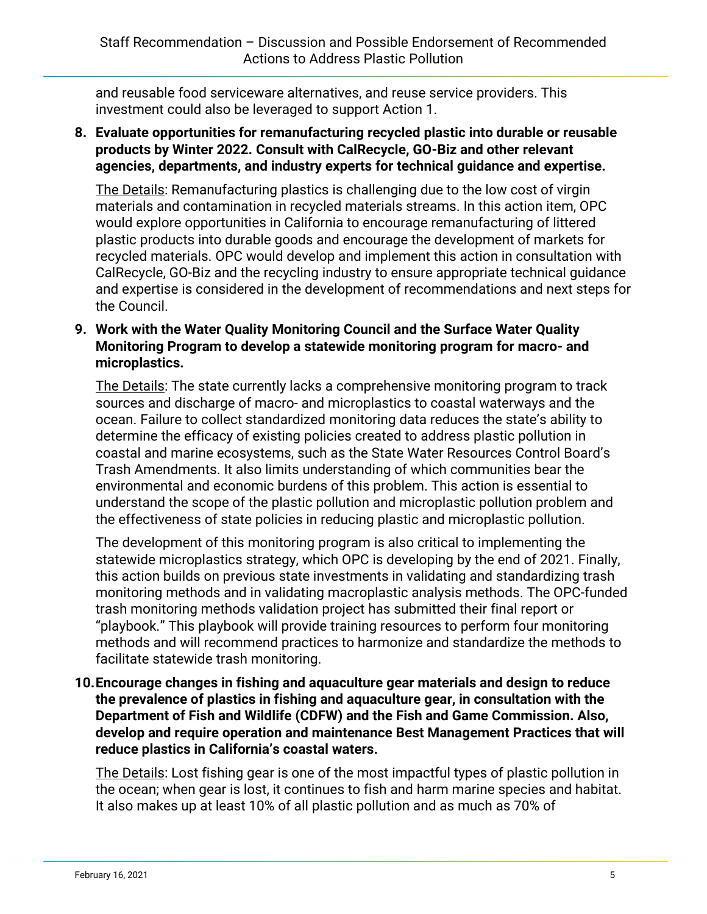and reusable food serviceware alternatives, and reuse service providers. This investment could also be leveraged to support Action 1.

**8. Evaluate opportunities for remanufacturing recycled plastic into durable or reusable products by Winter 2022. Consult with CalRecycle, GO-Biz and other relevant agencies, departments, and industry experts for technical guidance and expertise.**

The Details: Remanufacturing plastics is challenging due to the low cost of virgin materials and contamination in recycled materials streams. In this action item, OPC would explore opportunities in California to encourage remanufacturing of littered plastic products into durable goods and encourage the development of markets for recycled materials. OPC would develop and implement this action in consultation with CalRecycle, GO-Biz and the recycling industry to ensure appropriate technical guidance and expertise is considered in the development of recommendations and next steps for the Council.

## **9. Work with the Water Quality Monitoring Council and the Surface Water Quality Monitoring Program to develop a statewide monitoring program for macro- and microplastics.**

The Details: The state currently lacks a comprehensive monitoring program to track sources and discharge of macro- and microplastics to coastal waterways and the ocean. Failure to collect standardized monitoring data reduces the state's ability to determine the efficacy of existing policies created to address plastic pollution in coastal and marine ecosystems, such as the State Water Resources Control Board's Trash Amendments. It also limits understanding of which communities bear the environmental and economic burdens of this problem. This action is essential to understand the scope of the plastic pollution and microplastic pollution problem and the effectiveness of state policies in reducing plastic and microplastic pollution.

The development of this monitoring program is also critical to implementing the statewide microplastics strategy, which OPC is developing by the end of 2021. Finally, this action builds on previous state investments in validating and standardizing trash monitoring methods and in validating macroplastic analysis methods. The OPC-funded trash monitoring methods validation project has submitted their final report or "playbook." This playbook will provide training resources to perform four monitoring methods and will recommend practices to harmonize and standardize the methods to facilitate statewide trash monitoring.

**10.Encourage changes in fishing and aquaculture gear materials and design to reduce the prevalence of plastics in fishing and aquaculture gear, in consultation with the Department of Fish and Wildlife (CDFW) and the Fish and Game Commission. Also, develop and require operation and maintenance Best Management Practices that will reduce plastics in California's coastal waters.**

The Details: Lost fishing gear is one of the most impactful types of plastic pollution in the ocean; when gear is lost, it continues to fish and harm marine species and habitat. It also makes up at least 10% of all plastic pollution and as much as 70% of